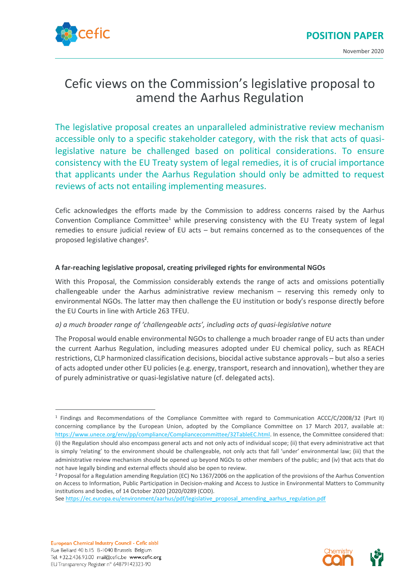

# Cefic views on the Commission's legislative proposal to amend the Aarhus Regulation

The legislative proposal creates an unparalleled administrative review mechanism accessible only to a specific stakeholder category, with the risk that acts of quasilegislative nature be challenged based on political considerations. To ensure consistency with the EU Treaty system of legal remedies, it is of crucial importance that applicants under the Aarhus Regulation should only be admitted to request reviews of acts not entailing implementing measures.

Cefic acknowledges the efforts made by the Commission to address concerns raised by the Aarhus Convention Compliance Committee<sup>1</sup> while preserving consistency with the EU Treaty system of legal remedies to ensure judicial review of EU acts – but remains concerned as to the consequences of the proposed legislative changes<sup>2</sup>.

# **A far-reaching legislative proposal, creating privileged rights for environmental NGOs**

With this Proposal, the Commission considerably extends the range of acts and omissions potentially challengeable under the Aarhus administrative review mechanism – reserving this remedy only to environmental NGOs. The latter may then challenge the EU institution or body's response directly before the EU Courts in line with Article 263 TFEU.

# *a) a much broader range of 'challengeable acts', including acts of quasi-legislative nature*

The Proposal would enable environmental NGOs to challenge a much broader range of EU acts than under the current Aarhus Regulation, including measures adopted under EU chemical policy, such as REACH restrictions, CLP harmonized classification decisions, biocidal active substance approvals – but also a series of acts adopted under other EU policies (e.g. energy, transport, research and innovation), whether they are of purely administrative or quasi-legislative nature (cf. delegated acts).



<sup>1</sup> Findings and Recommendations of the Compliance Committee with regard to Communication ACCC/C/2008/32 (Part II) concerning compliance by the European Union, adopted by the Compliance Committee on 17 March 2017, available at: [https://www.unece.org/env/pp/compliance/Compliancecommittee/32TableEC.html.](https://www.unece.org/env/pp/compliance/Compliancecommittee/32TableEC.html) In essence, the Committee considered that: (i) the Regulation should also encompass general acts and not only acts of individual scope; (ii) that every administrative act that is simply 'relating' to the environment should be challengeable, not only acts that fall 'under' environmental law; (iii) that the administrative review mechanism should be opened up beyond NGOs to other members of the public; and (iv) that acts that do not have legally binding and external effects should also be open to review.

<sup>2</sup> Proposal for a Regulation amending Regulation (EC) No 1367/2006 on the application of the provisions of the Aarhus Convention on Access to Information, Public Participation in Decision-making and Access to Justice in Environmental Matters to Community institutions and bodies, of 14 October 2020 [2020/0289 (COD).

Se[e https://ec.europa.eu/environment/aarhus/pdf/legislative\\_proposal\\_amending\\_aarhus\\_regulation.pdf](https://ec.europa.eu/environment/aarhus/pdf/legislative_proposal_amending_aarhus_regulation.pdf)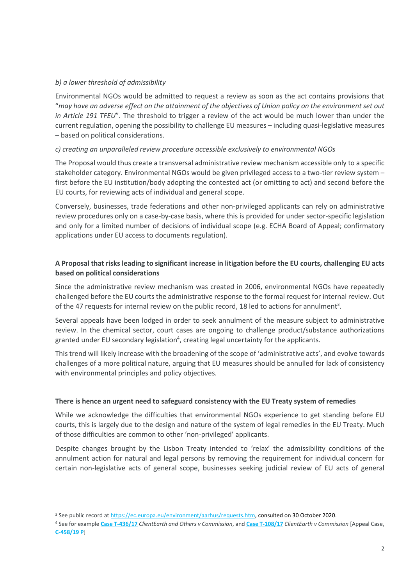# *b) a lower threshold of admissibility*

Environmental NGOs would be admitted to request a review as soon as the act contains provisions that "*may have an adverse effect on the attainment of the objectives of Union policy on the environment set out in Article 191 TFEU*". The threshold to trigger a review of the act would be much lower than under the current regulation, opening the possibility to challenge EU measures – including quasi-legislative measures – based on political considerations.

### *c) creating an unparalleled review procedure accessible exclusively to environmental NGOs*

The Proposal would thus create a transversal administrative review mechanism accessible only to a specific stakeholder category. Environmental NGOs would be given privileged access to a two-tier review system – first before the EU institution/body adopting the contested act (or omitting to act) and second before the EU courts, for reviewing acts of individual and general scope.

Conversely, businesses, trade federations and other non-privileged applicants can rely on administrative review procedures only on a case-by-case basis, where this is provided for under sector-specific legislation and only for a limited number of decisions of individual scope (e.g. ECHA Board of Appeal; confirmatory applications under EU access to documents regulation).

# **A Proposal that risks leading to significant increase in litigation before the EU courts, challenging EU acts based on political considerations**

Since the administrative review mechanism was created in 2006, environmental NGOs have repeatedly challenged before the EU courts the administrative response to the formal request for internal review. Out of the 47 requests for internal review on the public record, 18 led to actions for annulment<sup>3</sup>.

Several appeals have been lodged in order to seek annulment of the measure subject to administrative review. In the chemical sector, court cases are ongoing to challenge product/substance authorizations granted under EU secondary legislation<sup>4</sup>, creating legal uncertainty for the applicants.

This trend will likely increase with the broadening of the scope of 'administrative acts', and evolve towards challenges of a more political nature, arguing that EU measures should be annulled for lack of consistency with environmental principles and policy objectives.

# **There is hence an urgent need to safeguard consistency with the EU Treaty system of remedies**

While we acknowledge the difficulties that environmental NGOs experience to get standing before EU courts, this is largely due to the design and nature of the system of legal remedies in the EU Treaty. Much of those difficulties are common to other 'non-privileged' applicants.

Despite changes brought by the Lisbon Treaty intended to 'relax' the admissibility conditions of the annulment action for natural and legal persons by removing the requirement for individual concern for certain non-legislative acts of general scope, businesses seeking judicial review of EU acts of general

<sup>3</sup> See public record at [https://ec.europa.eu/environment/aarhus/requests.htm,](https://ec.europa.eu/environment/aarhus/requests.htm) consulted on 30 October 2020.

<sup>4</sup> See for example **[Case T-436/17](http://curia.europa.eu/juris/liste.jsf?oqp=&for=&mat=or&lgrec=en&jge=&td=%3BALL&jur=C%2CT%2CF&num=T-436%252F17&page=1&dates=&pcs=Oor&lg=&pro=&nat=or&cit=none%252CC%252CCJ%252CR%252C2008E%252C%252C%252C%252C%252C%252C%252C%252C%252C%252Ctrue%252Cfalse%252Cfalse&language=en&avg=&cid=10401237)** *ClientEarth and Others v Commission*, and **[Case T-108/17](http://curia.europa.eu/juris/document/document.jsf?text=&docid=212665&pageIndex=0&doclang=EN&mode=lst&dir=&occ=first&part=1&cid=3546665)** *ClientEarth v Commission* [Appeal Case, **[C-458/19 P](http://curia.europa.eu/juris/liste.jsf?num=C-458/19&language=en)**]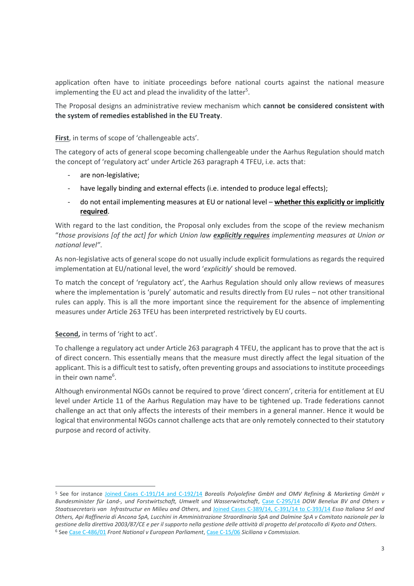application often have to initiate proceedings before national courts against the national measure implementing the EU act and plead the invalidity of the latter<sup>5</sup>.

The Proposal designs an administrative review mechanism which **cannot be considered consistent with the system of remedies established in the EU Treaty**.

**First**, in terms of scope of 'challengeable acts'.

The category of acts of general scope becoming challengeable under the Aarhus Regulation should match the concept of 'regulatory act' under Article 263 paragraph 4 TFEU, i.e. acts that:

- are non-legislative;
- have legally binding and external effects (i.e. intended to produce legal effects);
- do not entail implementing measures at EU or national level **whether this explicitly or implicitly required**.

With regard to the last condition, the Proposal only excludes from the scope of the review mechanism "*those provisions [of the act] for which Union law explicitly requires implementing measures at Union or national level"*.

As non-legislative acts of general scope do not usually include explicit formulations as regards the required implementation at EU/national level, the word '*explicitly*' should be removed.

To match the concept of 'regulatory act', the Aarhus Regulation should only allow reviews of measures where the implementation is 'purely' automatic and results directly from EU rules – not other transitional rules can apply. This is all the more important since the requirement for the absence of implementing measures under Article 263 TFEU has been interpreted restrictively by EU courts.

# **Second,** in terms of 'right to act'.

To challenge a regulatory act under Article 263 paragraph 4 TFEU, the applicant has to prove that the act is of direct concern. This essentially means that the measure must directly affect the legal situation of the applicant. This is a difficult test to satisfy, often preventing groups and associations to institute proceedings in their own name<sup>6</sup>.

Although environmental NGOs cannot be required to prove 'direct concern', criteria for entitlement at EU level under Article 11 of the Aarhus Regulation may have to be tightened up. Trade federations cannot challenge an act that only affects the interests of their members in a general manner. Hence it would be logical that environmental NGOs cannot challenge acts that are only remotely connected to their statutory purpose and record of activity.

<sup>5</sup> See for instance [Joined Cases C-191/14 and C-192/14](http://curia.europa.eu/juris/liste.jsf?num=C-191/14&language=en) *Borealis Polyolefine GmbH and OMV Refining & Marketing GmbH v Bundesminister für Land-, und Forstwirtschaft, Umwelt und Wasserwirtschaft*, [Case C-295/14](http://curia.europa.eu/juris/liste.jsf?num=C-295/14) *DOW Benelux BV and Others v Staatssecretaris van Infrastructur en Milieu and Others*, and [Joined Cases C-389/14, C-391/14 to C-393/14](http://curia.europa.eu/juris/liste.jsf?num=C-389/14) *Esso Italiana Srl and Others, Api Raffineria di Ancona SpA, Lucchini in Amministrazione Straordinaria SpA and Dalmine SpA v Comitato nazionale per la gestione della direttiva 2003/87/CE e per il supporto nella gestione delle attività di progetto del protocollo di Kyoto and Others*. <sup>6</sup> See [Case C-486/01](http://curia.europa.eu/juris/liste.jsf?num=C-486/01&language=en) *Front National v European Parliament*[, Case C-15/06](http://curia.europa.eu/juris/liste.jsf?language=en&num=C-15/06) *Siciliana v Commission.*